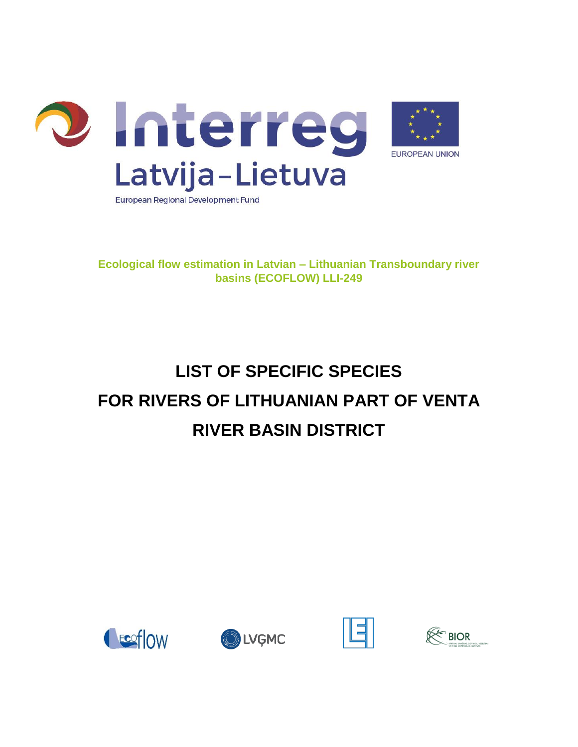

**Ecological flow estimation in Latvian – Lithuanian Transboundary river basins (ECOFLOW) LLI-249**

## **LIST OF SPECIFIC SPECIES FOR RIVERS OF LITHUANIAN PART OF VENTA RIVER BASIN DISTRICT**





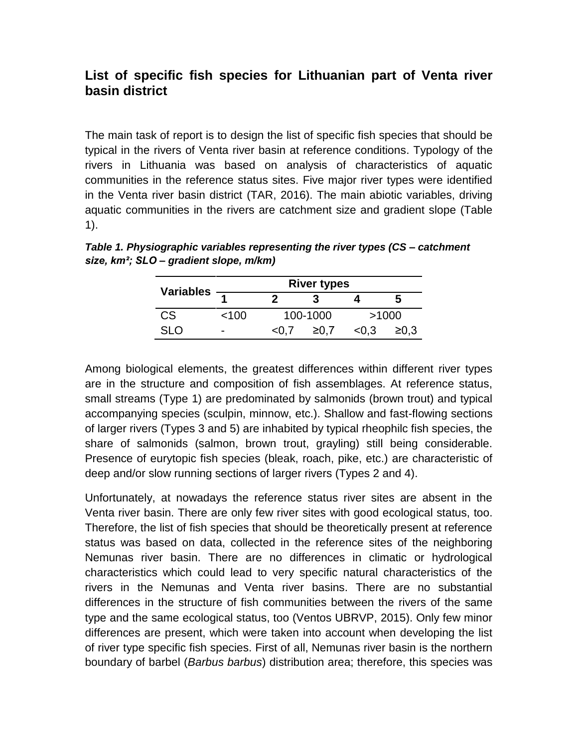## **List of specific fish species for Lithuanian part of Venta river basin district**

The main task of report is to design the list of specific fish species that should be typical in the rivers of Venta river basin at reference conditions. Typology of the rivers in Lithuania was based on analysis of characteristics of aquatic communities in the reference status sites. Five major river types were identified in the Venta river basin district (TAR, 2016). The main abiotic variables, driving aquatic communities in the rivers are catchment size and gradient slope (Table 1).

| <b>Variables</b> | <b>River types</b>       |       |          |       |            |  |  |  |
|------------------|--------------------------|-------|----------|-------|------------|--|--|--|
|                  |                          |       |          |       | h          |  |  |  |
| CS.              | 100 <sup>2</sup>         |       | 100-1000 | >1000 |            |  |  |  |
| SLO.             | $\overline{\phantom{0}}$ | < 0.7 | ≥0.7     | < 0.3 | $\geq 0.3$ |  |  |  |

*Table 1. Physiographic variables representing the river types (CS – catchment size, km²; SLO – gradient slope, m/km)*

Among biological elements, the greatest differences within different river types are in the structure and composition of fish assemblages. At reference status, small streams (Type 1) are predominated by salmonids (brown trout) and typical accompanying species (sculpin, minnow, etc.). Shallow and fast-flowing sections of larger rivers (Types 3 and 5) are inhabited by typical rheophilc fish species, the share of salmonids (salmon, brown trout, grayling) still being considerable. Presence of eurytopic fish species (bleak, roach, pike, etc.) are characteristic of deep and/or slow running sections of larger rivers (Types 2 and 4).

Unfortunately, at nowadays the reference status river sites are absent in the Venta river basin. There are only few river sites with good ecological status, too. Therefore, the list of fish species that should be theoretically present at reference status was based on data, collected in the reference sites of the neighboring Nemunas river basin. There are no differences in climatic or hydrological characteristics which could lead to very specific natural characteristics of the rivers in the Nemunas and Venta river basins. There are no substantial differences in the structure of fish communities between the rivers of the same type and the same ecological status, too (Ventos UBRVP, 2015). Only few minor differences are present, which were taken into account when developing the list of river type specific fish species. First of all, Nemunas river basin is the northern boundary of barbel (*Barbus barbus*) distribution area; therefore, this species was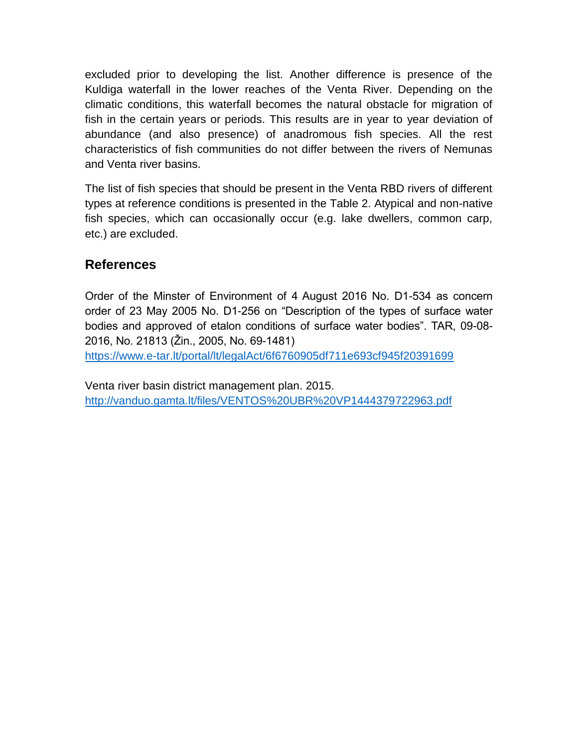excluded prior to developing the list. Another difference is presence of the Kuldiga waterfall in the lower reaches of the Venta River. Depending on the climatic conditions, this waterfall becomes the natural obstacle for migration of fish in the certain years or periods. This results are in year to year deviation of abundance (and also presence) of anadromous fish species. All the rest characteristics of fish communities do not differ between the rivers of Nemunas and Venta river basins.

The list of fish species that should be present in the Venta RBD rivers of different types at reference conditions is presented in the Table 2. Atypical and non-native fish species, which can occasionally occur (e.g. lake dwellers, common carp, etc.) are excluded.

## **References**

Order of the Minster of Environment of 4 August 2016 No. D1-534 as concern order of 23 May 2005 No. D1-256 on "Description of the types of surface water bodies and approved of etalon conditions of surface water bodies". TAR, 09-08- 2016, No. 21813 (Žin., 2005, No. 69-1481)

<https://www.e-tar.lt/portal/lt/legalAct/6f6760905df711e693cf945f20391699>

Venta river basin district management plan. 2015. <http://vanduo.gamta.lt/files/VENTOS%20UBR%20VP1444379722963.pdf>